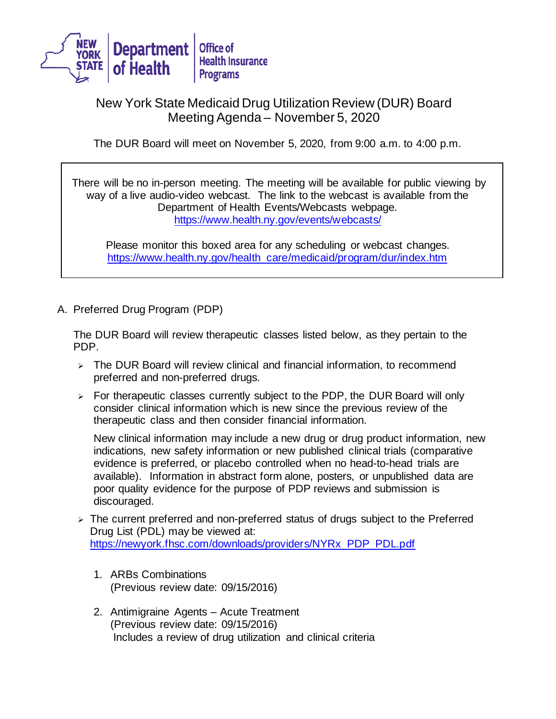

## New York State Medicaid Drug Utilization Review (DUR) Board Meeting Agenda – November 5, 2020

The DUR Board will meet on November 5, 2020, from 9:00 a.m. to 4:00 p.m.

There will be no in-person meeting. The meeting will be available for public viewing by way of a live audio-video webcast. The link to the webcast is available from the Department of Health Events/Webcasts webpage. <https://www.health.ny.gov/events/webcasts/>

Please monitor this boxed area for any scheduling or webcast changes. [https://www.health.ny.gov/health\\_care/medicaid/program/dur/index.htm](https://www.health.ny.gov/health_care/medicaid/program/dur/index.htm)

A. Preferred Drug Program (PDP)

The DUR Board will review therapeutic classes listed below, as they pertain to the PDP.

- $\geq$  The DUR Board will review clinical and financial information, to recommend preferred and non-preferred drugs.
- $\triangleright$  For therapeutic classes currently subject to the PDP, the DUR Board will only consider clinical information which is new since the previous review of the therapeutic class and then consider financial information.

New clinical information may include a new drug or drug product information, new indications, new safety information or new published clinical trials (comparative evidence is preferred, or placebo controlled when no head-to-head trials are available). Information in abstract form alone, posters, or unpublished data are poor quality evidence for the purpose of PDP reviews and submission is discouraged.

- > The current preferred and non-preferred status of drugs subject to the Preferred Drug List (PDL) may be viewed at: [https://newyork.fhsc.com/downloads/providers/NYRx\\_PDP\\_PDL.pdf](https://newyork.fhsc.com/downloads/providers/NYRx_PDP_PDL.pdf)
	- 1. ARBs Combinations (Previous review date: 09/15/2016)
	- 2. Antimigraine Agents Acute Treatment (Previous review date: 09/15/2016) Includes a review of drug utilization and clinical criteria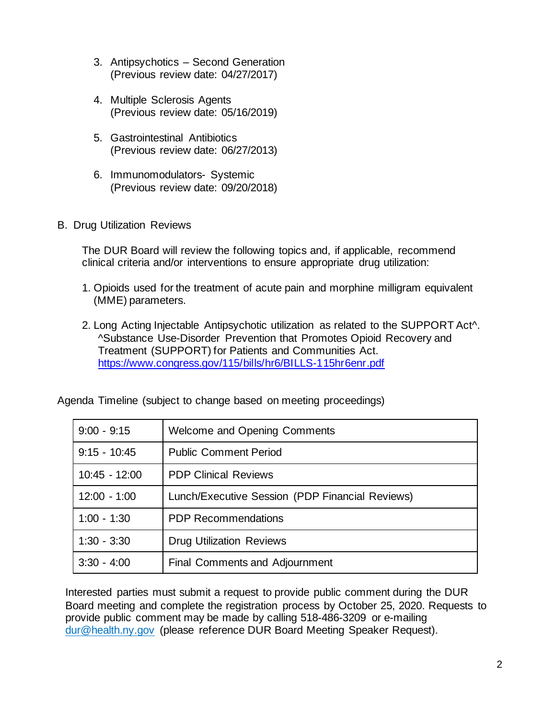- 3. Antipsychotics Second Generation (Previous review date: 04/27/2017)
- 4. Multiple Sclerosis Agents (Previous review date: 05/16/2019)
- 5. Gastrointestinal Antibiotics (Previous review date: 06/27/2013)
- 6. Immunomodulators- Systemic (Previous review date: 09/20/2018)
- B. Drug Utilization Reviews

The DUR Board will review the following topics and, if applicable, recommend clinical criteria and/or interventions to ensure appropriate drug utilization:

- 1. Opioids used for the treatment of acute pain and morphine milligram equivalent (MME) parameters.
- 2. Long Acting Injectable Antipsychotic utilization as related to the SUPPORT Act^. ^Substance Use-Disorder Prevention that Promotes Opioid Recovery and Treatment (SUPPORT) for Patients and Communities Act. <https://www.congress.gov/115/bills/hr6/BILLS-115hr6enr.pdf>

| $9:00 - 9:15$   | <b>Welcome and Opening Comments</b>             |
|-----------------|-------------------------------------------------|
| $9:15 - 10:45$  | <b>Public Comment Period</b>                    |
| $10:45 - 12:00$ | <b>PDP Clinical Reviews</b>                     |
| $12:00 - 1:00$  | Lunch/Executive Session (PDP Financial Reviews) |
| $1:00 - 1:30$   | <b>PDP Recommendations</b>                      |
| $1:30 - 3:30$   | <b>Drug Utilization Reviews</b>                 |
| $3:30 - 4:00$   | Final Comments and Adjournment                  |

Agenda Timeline (subject to change based on meeting proceedings)

Interested parties must submit a request to provide public comment during the DUR Board meeting and complete the registration process by October 25, 2020. Requests to provide public comment may be made by calling 518-486-3209 or e-mailing [dur@health.ny.g](mailto:dur@health.ny.)ov (please reference DUR Board Meeting Speaker Request).